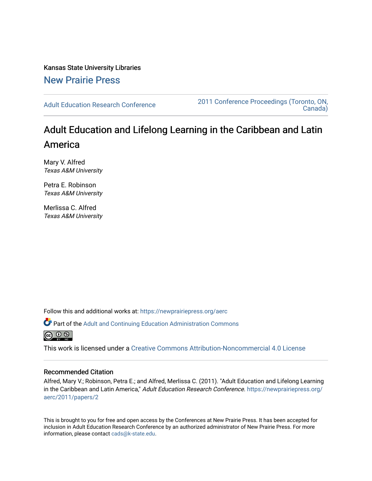Kansas State University Libraries [New Prairie Press](https://newprairiepress.org/) 

[Adult Education Research Conference](https://newprairiepress.org/aerc) [2011 Conference Proceedings \(Toronto, ON,](https://newprairiepress.org/aerc/2011)  [Canada\)](https://newprairiepress.org/aerc/2011) 

# Adult Education and Lifelong Learning in the Caribbean and Latin America

Mary V. Alfred Texas A&M University

Petra E. Robinson Texas A&M University

Merlissa C. Alfred Texas A&M University

Follow this and additional works at: [https://newprairiepress.org/aerc](https://newprairiepress.org/aerc?utm_source=newprairiepress.org%2Faerc%2F2011%2Fpapers%2F2&utm_medium=PDF&utm_campaign=PDFCoverPages)

Part of the [Adult and Continuing Education Administration Commons](http://network.bepress.com/hgg/discipline/789?utm_source=newprairiepress.org%2Faerc%2F2011%2Fpapers%2F2&utm_medium=PDF&utm_campaign=PDFCoverPages)



This work is licensed under a [Creative Commons Attribution-Noncommercial 4.0 License](https://creativecommons.org/licenses/by-nc/4.0/)

## Recommended Citation

Alfred, Mary V.; Robinson, Petra E.; and Alfred, Merlissa C. (2011). "Adult Education and Lifelong Learning in the Caribbean and Latin America," Adult Education Research Conference. [https://newprairiepress.org/](https://newprairiepress.org/aerc/2011/papers/2) [aerc/2011/papers/2](https://newprairiepress.org/aerc/2011/papers/2)

This is brought to you for free and open access by the Conferences at New Prairie Press. It has been accepted for inclusion in Adult Education Research Conference by an authorized administrator of New Prairie Press. For more information, please contact [cads@k-state.edu](mailto:cads@k-state.edu).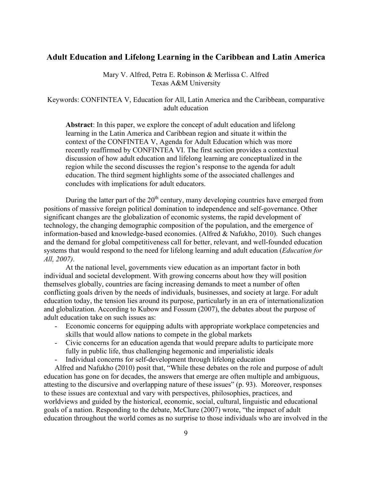# **Adult Education and Lifelong Learning in the Caribbean and Latin America**

Mary V. Alfred, Petra E. Robinson & Merlissa C. Alfred Texas A&M University

Keywords: CONFINTEA V, Education for All, Latin America and the Caribbean, comparative adult education

**Abstract**: In this paper, we explore the concept of adult education and lifelong learning in the Latin America and Caribbean region and situate it within the context of the CONFINTEA V, Agenda for Adult Education which was more recently reaffirmed by CONFINTEA VI. The first section provides a contextual discussion of how adult education and lifelong learning are conceptualized in the region while the second discusses the region's response to the agenda for adult education. The third segment highlights some of the associated challenges and concludes with implications for adult educators.

During the latter part of the  $20<sup>th</sup>$  century, many developing countries have emerged from positions of massive foreign political domination to independence and self-governance. Other significant changes are the globalization of economic systems, the rapid development of technology, the changing demographic composition of the population, and the emergence of information-based and knowledge-based economies. (Alfred & Nafukho, 2010). Such changes and the demand for global competitiveness call for better, relevant, and well-founded education systems that would respond to the need for lifelong learning and adult education (*Education for All, 2007)*.

At the national level, governments view education as an important factor in both individual and societal development. With growing concerns about how they will position themselves globally, countries are facing increasing demands to meet a number of often conflicting goals driven by the needs of individuals, businesses, and society at large. For adult education today, the tension lies around its purpose, particularly in an era of internationalization and globalization. According to Kubow and Fossum (2007), the debates about the purpose of adult education take on such issues as:

- Economic concerns for equipping adults with appropriate workplace competencies and skills that would allow nations to compete in the global markets
- Civic concerns for an education agenda that would prepare adults to participate more fully in public life, thus challenging hegemonic and imperialistic ideals
- Individual concerns for self-development through lifelong education

Alfred and Nafukho (2010) posit that, "While these debates on the role and purpose of adult education has gone on for decades, the answers that emerge are often multiple and ambiguous, attesting to the discursive and overlapping nature of these issues" (p. 93). Moreover, responses to these issues are contextual and vary with perspectives, philosophies, practices, and worldviews and guided by the historical, economic, social, cultural, linguistic and educational goals of a nation. Responding to the debate, McClure (2007) wrote, "the impact of adult education throughout the world comes as no surprise to those individuals who are involved in the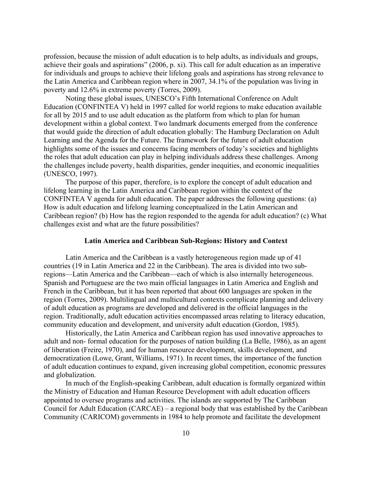profession, because the mission of adult education is to help adults, as individuals and groups, achieve their goals and aspirations" (2006, p. xi). This call for adult education as an imperative for individuals and groups to achieve their lifelong goals and aspirations has strong relevance to the Latin America and Caribbean region where in 2007, 34.1% of the population was living in poverty and 12.6% in extreme poverty (Torres, 2009).

Noting these global issues, UNESCO's Fifth International Conference on Adult Education (CONFINTEA V) held in 1997 called for world regions to make education available for all by 2015 and to use adult education as the platform from which to plan for human development within a global context. Two landmark documents emerged from the conference that would guide the direction of adult education globally: The Hamburg Declaration on Adult Learning and the Agenda for the Future. The framework for the future of adult education highlights some of the issues and concerns facing members of today's societies and highlights the roles that adult education can play in helping individuals address these challenges. Among the challenges include poverty, health disparities, gender inequities, and economic inequalities (UNESCO, 1997).

The purpose of this paper, therefore, is to explore the concept of adult education and lifelong learning in the Latin America and Caribbean region within the context of the CONFINTEA V agenda for adult education. The paper addresses the following questions: (a) How is adult education and lifelong learning conceptualized in the Latin American and Caribbean region? (b) How has the region responded to the agenda for adult education? (c) What challenges exist and what are the future possibilities?

### **Latin America and Caribbean Sub-Regions: History and Context**

Latin America and the Caribbean is a vastly heterogeneous region made up of 41 countries (19 in Latin America and 22 in the Caribbean). The area is divided into two subregions—Latin America and the Caribbean—each of which is also internally heterogeneous. Spanish and Portuguese are the two main official languages in Latin America and English and French in the Caribbean, but it has been reported that about 600 languages are spoken in the region (Torres, 2009). Multilingual and multicultural contexts complicate planning and delivery of adult education as programs are developed and delivered in the official languages in the region. Traditionally, adult education activities encompassed areas relating to literacy education, community education and development, and university adult education (Gordon, 1985).

Historically, the Latin America and Caribbean region has used innovative approaches to adult and non- formal education for the purposes of nation building (La Belle, 1986), as an agent of liberation (Freire, 1970), and for human resource development, skills development, and democratization (Lowe, Grant, Williams, 1971). In recent times, the importance of the function of adult education continues to expand, given increasing global competition, economic pressures and globalization.

In much of the English-speaking Caribbean, adult education is formally organized within the Ministry of Education and Human Resource Development with adult education officers appointed to oversee programs and activities. The islands are supported by The Caribbean Council for Adult Education (CARCAE) – a regional body that was established by the Caribbean Community (CARICOM) governments in 1984 to help promote and facilitate the development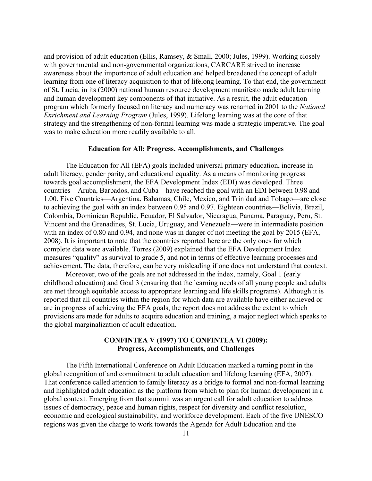and provision of adult education (Ellis, Ramsey, & Small, 2000; Jules, 1999). Working closely with governmental and non-governmental organizations, CARCARE strived to increase awareness about the importance of adult education and helped broadened the concept of adult learning from one of literacy acquisition to that of lifelong learning. To that end, the government of St. Lucia, in its (2000) national human resource development manifesto made adult learning and human development key components of that initiative. As a result, the adult education program which formerly focused on literacy and numeracy was renamed in 2001 to the *National Enrichment and Learning Program* (Jules, 1999). Lifelong learning was at the core of that strategy and the strengthening of non-formal learning was made a strategic imperative. The goal was to make education more readily available to all.

#### **Education for All: Progress, Accomplishments, and Challenges**

The Education for All (EFA) goals included universal primary education, increase in adult literacy, gender parity, and educational equality. As a means of monitoring progress towards goal accomplishment, the EFA Development Index (EDI) was developed. Three countries—Aruba, Barbados, and Cuba—have reached the goal with an EDI between 0.98 and 1.00. Five Countries—Argentina, Bahamas, Chile, Mexico, and Trinidad and Tobago—are close to achieving the goal with an index between 0.95 and 0.97. Eighteen countries—Bolivia, Brazil, Colombia, Dominican Republic, Ecuador, El Salvador, Nicaragua, Panama, Paraguay, Peru, St. Vincent and the Grenadines, St. Lucia, Uruguay, and Venezuela—were in intermediate position with an index of 0.80 and 0.94, and none was in danger of not meeting the goal by 2015 (EFA, 2008). It is important to note that the countries reported here are the only ones for which complete data were available. Torres (2009) explained that the EFA Development Index measures "quality" as survival to grade 5, and not in terms of effective learning processes and achievement. The data, therefore, can be very misleading if one does not understand that context.

Moreover, two of the goals are not addressed in the index, namely, Goal 1 (early childhood education) and Goal 3 (ensuring that the learning needs of all young people and adults are met through equitable access to appropriate learning and life skills programs). Although it is reported that all countries within the region for which data are available have either achieved or are in progress of achieving the EFA goals, the report does not address the extent to which provisions are made for adults to acquire education and training, a major neglect which speaks to the global marginalization of adult education.

## **CONFINTEA V (1997) TO CONFINTEA VI (2009): Progress, Accomplishments, and Challenges**

The Fifth International Conference on Adult Education marked a turning point in the global recognition of and commitment to adult education and lifelong learning (EFA, 2007). That conference called attention to family literacy as a bridge to formal and non-formal learning and highlighted adult education as the platform from which to plan for human development in a global context. Emerging from that summit was an urgent call for adult education to address issues of democracy, peace and human rights, respect for diversity and conflict resolution, economic and ecological sustainability, and workforce development. Each of the five UNESCO regions was given the charge to work towards the Agenda for Adult Education and the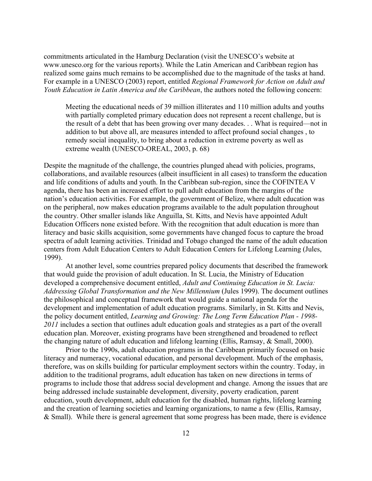commitments articulated in the Hamburg Declaration (visit the UNESCO's website at www.unesco.org for the various reports). While the Latin American and Caribbean region has realized some gains much remains to be accomplished due to the magnitude of the tasks at hand. For example in a UNESCO (2003) report, entitled *Regional Framework for Action on Adult and Youth Education in Latin America and the Caribbean*, the authors noted the following concern:

Meeting the educational needs of 39 million illiterates and 110 million adults and youths with partially completed primary education does not represent a recent challenge, but is the result of a debt that has been growing over many decades. . . What is required—not in addition to but above all, are measures intended to affect profound social changes , to remedy social inequality, to bring about a reduction in extreme poverty as well as extreme wealth (UNESCO-OREAL, 2003, p. 68)

Despite the magnitude of the challenge, the countries plunged ahead with policies, programs, collaborations, and available resources (albeit insufficient in all cases) to transform the education and life conditions of adults and youth. In the Caribbean sub-region, since the COFINTEA V agenda, there has been an increased effort to pull adult education from the margins of the nation's education activities. For example, the government of Belize, where adult education was on the peripheral, now makes education programs available to the adult population throughout the country. Other smaller islands like Anguilla, St. Kitts, and Nevis have appointed Adult Education Officers none existed before. With the recognition that adult education is more than literacy and basic skills acquisition, some governments have changed focus to capture the broad spectra of adult learning activities. Trinidad and Tobago changed the name of the adult education centers from Adult Education Centers to Adult Education Centers for Lifelong Learning (Jules, 1999).

At another level, some countries prepared policy documents that described the framework that would guide the provision of adult education. In St. Lucia, the Ministry of Education developed a comprehensive document entitled, *Adult and Continuing Education in St. Lucia: Addressing Global Transformation and the New Millennium* (Jules 1999). The document outlines the philosophical and conceptual framework that would guide a national agenda for the development and implementation of adult education programs. Similarly, in St. Kitts and Nevis, the policy document entitled, *Learning and Growing: The Long Term Education Plan - 1998- 2011* includes a section that outlines adult education goals and strategies as a part of the overall education plan. Moreover, existing programs have been strengthened and broadened to reflect the changing nature of adult education and lifelong learning (Ellis, Ramsay, & Small, 2000).

Prior to the 1990s, adult education programs in the Caribbean primarily focused on basic literacy and numeracy, vocational education, and personal development. Much of the emphasis, therefore, was on skills building for particular employment sectors within the country. Today, in addition to the traditional programs, adult education has taken on new directions in terms of programs to include those that address social development and change. Among the issues that are being addressed include sustainable development, diversity, poverty eradication, parent education, youth development, adult education for the disabled, human rights, lifelong learning and the creation of learning societies and learning organizations, to name a few (Ellis, Ramsay, & Small). While there is general agreement that some progress has been made, there is evidence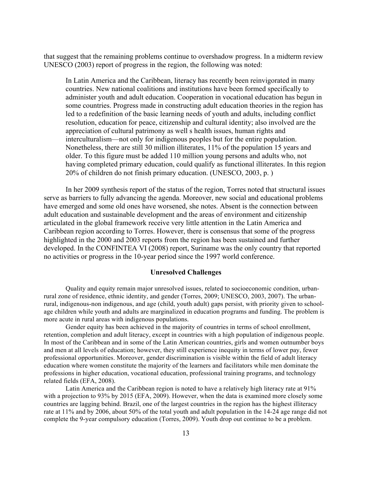that suggest that the remaining problems continue to overshadow progress. In a midterm review UNESCO (2003) report of progress in the region, the following was noted:

In Latin America and the Caribbean, literacy has recently been reinvigorated in many countries. New national coalitions and institutions have been formed specifically to administer youth and adult education. Cooperation in vocational education has begun in some countries. Progress made in constructing adult education theories in the region has led to a redefinition of the basic learning needs of youth and adults, including conflict resolution, education for peace, citizenship and cultural identity; also involved are the appreciation of cultural patrimony as well s health issues, human rights and interculturalism—not only for indigenous peoples but for the entire population. Nonetheless, there are still 30 million illiterates, 11% of the population 15 years and older. To this figure must be added 110 million young persons and adults who, not having completed primary education, could qualify as functional illiterates. In this region 20% of children do not finish primary education. (UNESCO, 2003, p. )

In her 2009 synthesis report of the status of the region, Torres noted that structural issues serve as barriers to fully advancing the agenda. Moreover, new social and educational problems have emerged and some old ones have worsened, she notes. Absent is the connection between adult education and sustainable development and the areas of environment and citizenship articulated in the global framework receive very little attention in the Latin America and Caribbean region according to Torres. However, there is consensus that some of the progress highlighted in the 2000 and 2003 reports from the region has been sustained and further developed. In the CONFINTEA VI (2008) report, Suriname was the only country that reported no activities or progress in the 10-year period since the 1997 world conference.

#### **Unresolved Challenges**

Quality and equity remain major unresolved issues, related to socioeconomic condition, urbanrural zone of residence, ethnic identity, and gender (Torres, 2009; UNESCO, 2003, 2007). The urbanrural, indigenous-non indigenous, and age (child, youth adult) gaps persist, with priority given to schoolage children while youth and adults are marginalized in education programs and funding. The problem is more acute in rural areas with indigenous populations.

Gender equity has been achieved in the majority of countries in terms of school enrollment, retention, completion and adult literacy, except in countries with a high population of indigenous people. In most of the Caribbean and in some of the Latin American countries, girls and women outnumber boys and men at all levels of education; however, they still experience inequity in terms of lower pay, fewer professional opportunities. Moreover, gender discrimination is visible within the field of adult literacy education where women constitute the majority of the learners and facilitators while men dominate the professions in higher education, vocational education, professional training programs, and technology related fields (EFA, 2008).

Latin America and the Caribbean region is noted to have a relatively high literacy rate at 91% with a projection to 93% by 2015 (EFA, 2009). However, when the data is examined more closely some countries are lagging behind. Brazil, one of the largest countries in the region has the highest illiteracy rate at 11% and by 2006, about 50% of the total youth and adult population in the 14-24 age range did not complete the 9-year compulsory education (Torres, 2009). Youth drop out continue to be a problem.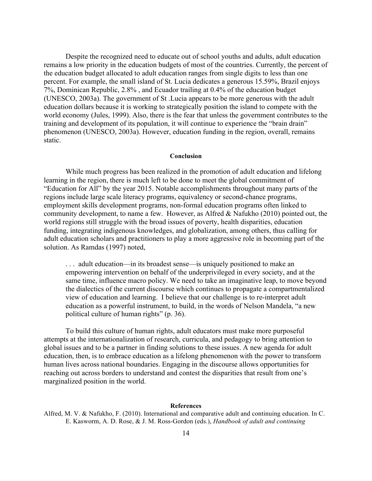Despite the recognized need to educate out of school youths and adults, adult education remains a low priority in the education budgets of most of the countries. Currently, the percent of the education budget allocated to adult education ranges from single digits to less than one percent. For example, the small island of St. Lucia dedicates a generous 15.59%, Brazil enjoys 7%, Dominican Republic, 2.8% , and Ecuador trailing at 0.4% of the education budget (UNESCO, 2003a). The government of St .Lucia appears to be more generous with the adult education dollars because it is working to strategically position the island to compete with the world economy (Jules, 1999). Also, there is the fear that unless the government contributes to the training and development of its population, it will continue to experience the "brain drain" phenomenon (UNESCO, 2003a). However, education funding in the region, overall, remains static.

#### **Conclusion**

While much progress has been realized in the promotion of adult education and lifelong learning in the region, there is much left to be done to meet the global commitment of "Education for All" by the year 2015. Notable accomplishments throughout many parts of the regions include large scale literacy programs, equivalency or second-chance programs, employment skills development programs, non-formal education programs often linked to community development, to name a few. However, as Alfred & Nafukho (2010) pointed out, the world regions still struggle with the broad issues of poverty, health disparities, education funding, integrating indigenous knowledges, and globalization, among others, thus calling for adult education scholars and practitioners to play a more aggressive role in becoming part of the solution. As Ramdas (1997) noted,

. . . adult education—in its broadest sense—is uniquely positioned to make an empowering intervention on behalf of the underprivileged in every society, and at the same time, influence macro policy. We need to take an imaginative leap, to move beyond the dialectics of the current discourse which continues to propagate a compartmentalized view of education and learning. I believe that our challenge is to re-interpret adult education as a powerful instrument, to build, in the words of Nelson Mandela, "a new political culture of human rights" (p. 36).

To build this culture of human rights, adult educators must make more purposeful attempts at the internationalization of research, curricula, and pedagogy to bring attention to global issues and to be a partner in finding solutions to these issues. A new agenda for adult education, then, is to embrace education as a lifelong phenomenon with the power to transform human lives across national boundaries. Engaging in the discourse allows opportunities for reaching out across borders to understand and contest the disparities that result from one's marginalized position in the world.

#### **References**

Alfred, M. V. & Nafukho, F. (2010). International and comparative adult and continuing education. In C. E. Kasworm, A. D. Rose, & J. M. Ross-Gordon (eds.), *Handbook of adult and continuing*